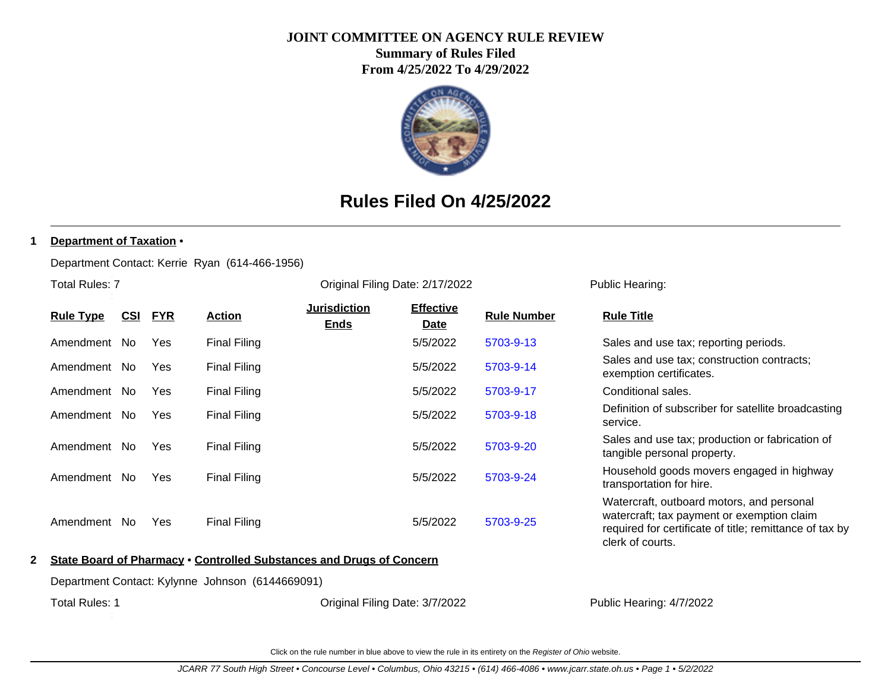### **JOINT COMMITTEE ON AGENCY RULE REVIEW**

**Summary of Rules Filed From 4/25/2022 To 4/29/2022**



# **Rules Filed On 4/25/2022**

#### **1 Department of Taxation** •

Department Contact: Kerrie Ryan (614-466-1956)

Total Rules: 7

| <b>Rule Type</b> | <u>CSI</u> | <u>FYR</u> | <b>Action</b>       | <b>Jurisdiction</b><br><b>Ends</b> | <b>Effective</b><br><b>Date</b> | <b>Rule Number</b> | <b>Rule Title</b>                                                                       |
|------------------|------------|------------|---------------------|------------------------------------|---------------------------------|--------------------|-----------------------------------------------------------------------------------------|
| Amendment        | No.        | Yes        | Final Filing        |                                    | 5/5/2022                        | 5703-9-13          | Sales and use tax; reporting periods.                                                   |
| Amendment        | No.        | Yes        | Final Filing        |                                    | 5/5/2022                        | 5703-9-14          | Sales and use tax; construction contracts;<br>exemption certificates.                   |
| Amendment        | No.        | Yes        | Final Filing        |                                    | 5/5/2022                        | 5703-9-17          | Conditional sales.                                                                      |
| Amendment        | No.        | Yes        | <b>Final Filing</b> |                                    | 5/5/2022                        | 5703-9-18          | Definition of subscriber for satellite broadcasting<br>service.                         |
| Amendment        | No.        | Yes        | <b>Final Filing</b> |                                    | 5/5/2022                        | 5703-9-20          | Sales and use tax; production or fabrication of<br>tangible personal property.          |
| Amendment        | No.        | Yes        | <b>Final Filing</b> |                                    | 5/5/2022                        | 5703-9-24          | Household goods movers engaged in highway<br>transportation for hire.                   |
| Amendment        | No.        | Yes        | <b>Final Filing</b> |                                    | 5/5/2022                        | 5703-9-25          | Watercraft, outboard motors, and personal<br>watercraft; tax payment or exemption claim |

Original Filing Date: 2/17/2022 Public Hearing:

| Sales and use tax; reporting periods.                                                                                                                                  |
|------------------------------------------------------------------------------------------------------------------------------------------------------------------------|
| Sales and use tax; construction contracts;<br>exemption certificates.                                                                                                  |
| Conditional sales.                                                                                                                                                     |
| Definition of subscriber for satellite broadcasting<br>service.                                                                                                        |
| Sales and use tax; production or fabrication of<br>tangible personal property.                                                                                         |
| Household goods movers engaged in highway<br>transportation for hire.                                                                                                  |
| Watercraft, outboard motors, and personal<br>watercraft; tax payment or exemption claim<br>required for certificate of title; remittance of tax by<br>clerk of courts. |
|                                                                                                                                                                        |

### **2 State Board of Pharmacy** • **Controlled Substances and Drugs of Concern**

Department Contact: Kylynne Johnson (6144669091)

Total Rules: 1

Original Filing Date: 3/7/2022 Public Hearing: 4/7/2022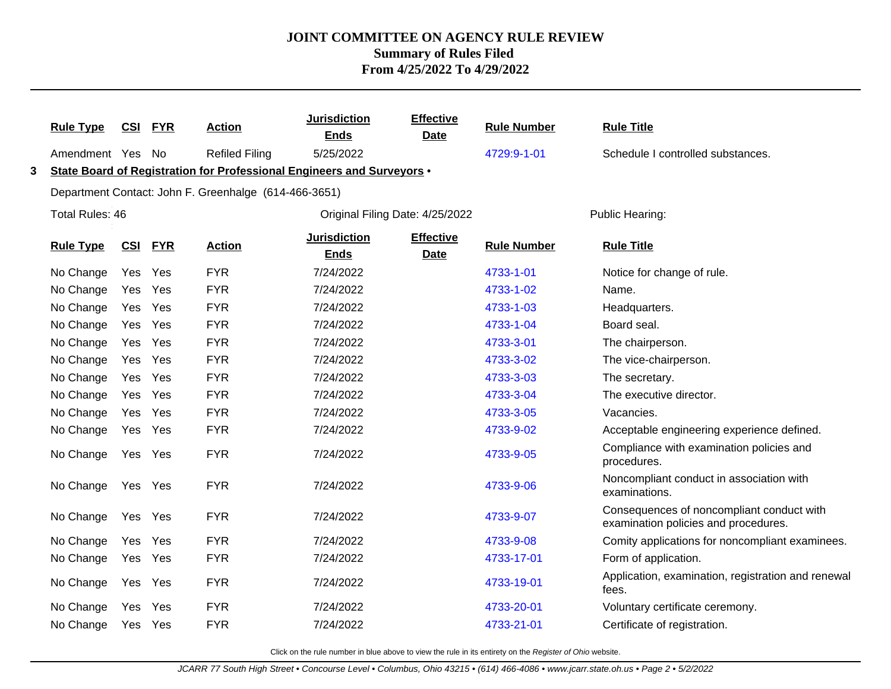|   | <b>Rule Type</b> | <b>CSI</b> | <b>FYR</b> | <b>Action</b>                                                          | <b>Jurisdiction</b><br><b>Ends</b> | <b>Effective</b><br><b>Date</b> | <b>Rule Number</b> | <b>Rule Title</b>                                                                 |
|---|------------------|------------|------------|------------------------------------------------------------------------|------------------------------------|---------------------------------|--------------------|-----------------------------------------------------------------------------------|
|   | Amendment Yes    |            | No         | <b>Refiled Filing</b>                                                  | 5/25/2022                          |                                 | 4729:9-1-01        | Schedule I controlled substances.                                                 |
| 3 |                  |            |            | State Board of Registration for Professional Engineers and Surveyors . |                                    |                                 |                    |                                                                                   |
|   |                  |            |            | Department Contact: John F. Greenhalge (614-466-3651)                  |                                    |                                 |                    |                                                                                   |
|   | Total Rules: 46  |            |            |                                                                        | Original Filing Date: 4/25/2022    |                                 |                    | Public Hearing:                                                                   |
|   | <b>Rule Type</b> | CSI        | <b>FYR</b> | <b>Action</b>                                                          | <b>Jurisdiction</b><br><b>Ends</b> | <b>Effective</b><br><b>Date</b> | <b>Rule Number</b> | <b>Rule Title</b>                                                                 |
|   | No Change        | Yes        | Yes        | <b>FYR</b>                                                             | 7/24/2022                          |                                 | 4733-1-01          | Notice for change of rule.                                                        |
|   | No Change        | Yes        | Yes        | <b>FYR</b>                                                             | 7/24/2022                          |                                 | 4733-1-02          | Name.                                                                             |
|   | No Change        | Yes        | Yes        | <b>FYR</b>                                                             | 7/24/2022                          |                                 | 4733-1-03          | Headquarters.                                                                     |
|   | No Change        | Yes        | Yes        | <b>FYR</b>                                                             | 7/24/2022                          |                                 | 4733-1-04          | Board seal.                                                                       |
|   | No Change        |            | Yes Yes    | <b>FYR</b>                                                             | 7/24/2022                          |                                 | 4733-3-01          | The chairperson.                                                                  |
|   | No Change        | Yes        | Yes        | <b>FYR</b>                                                             | 7/24/2022                          |                                 | 4733-3-02          | The vice-chairperson.                                                             |
|   | No Change        |            | Yes Yes    | <b>FYR</b>                                                             | 7/24/2022                          |                                 | 4733-3-03          | The secretary.                                                                    |
|   | No Change        | Yes        | Yes        | <b>FYR</b>                                                             | 7/24/2022                          |                                 | 4733-3-04          | The executive director.                                                           |
|   | No Change        |            | Yes Yes    | <b>FYR</b>                                                             | 7/24/2022                          |                                 | 4733-3-05          | Vacancies.                                                                        |
|   | No Change        | Yes        | Yes        | <b>FYR</b>                                                             | 7/24/2022                          |                                 | 4733-9-02          | Acceptable engineering experience defined.                                        |
|   | No Change        |            | Yes Yes    | <b>FYR</b>                                                             | 7/24/2022                          |                                 | 4733-9-05          | Compliance with examination policies and<br>procedures.                           |
|   | No Change        |            | Yes Yes    | <b>FYR</b>                                                             | 7/24/2022                          |                                 | 4733-9-06          | Noncompliant conduct in association with<br>examinations.                         |
|   | No Change        | Yes        | Yes        | <b>FYR</b>                                                             | 7/24/2022                          |                                 | 4733-9-07          | Consequences of noncompliant conduct with<br>examination policies and procedures. |
|   | No Change        | Yes        | Yes        | <b>FYR</b>                                                             | 7/24/2022                          |                                 | 4733-9-08          | Comity applications for noncompliant examinees.                                   |
|   | No Change        | Yes        | Yes        | <b>FYR</b>                                                             | 7/24/2022                          |                                 | 4733-17-01         | Form of application.                                                              |
|   | No Change        |            | Yes Yes    | <b>FYR</b>                                                             | 7/24/2022                          |                                 | 4733-19-01         | Application, examination, registration and renewal<br>fees.                       |
|   | No Change        | Yes        | Yes        | <b>FYR</b>                                                             | 7/24/2022                          |                                 | 4733-20-01         | Voluntary certificate ceremony.                                                   |
|   | No Change        |            | Yes Yes    | <b>FYR</b>                                                             | 7/24/2022                          |                                 | 4733-21-01         | Certificate of registration.                                                      |
|   |                  |            |            |                                                                        |                                    |                                 |                    |                                                                                   |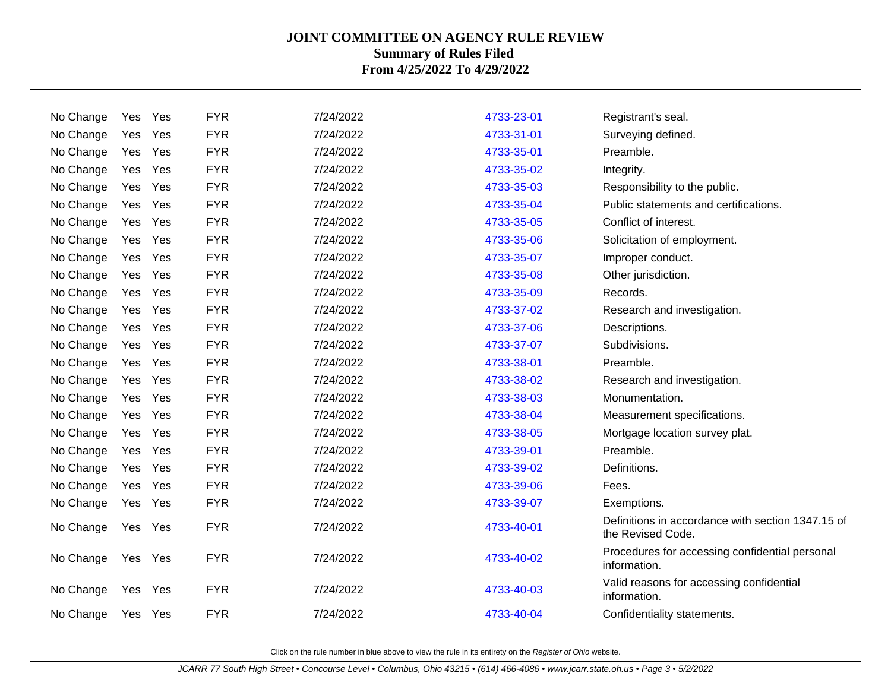| No Change |         | Yes Yes | <b>FYR</b> | 7/24/2022 | 4733-23-01 | Registrant's seal.                                                     |
|-----------|---------|---------|------------|-----------|------------|------------------------------------------------------------------------|
| No Change | Yes     | Yes     | <b>FYR</b> | 7/24/2022 | 4733-31-01 | Surveying defined.                                                     |
| No Change | Yes     | Yes     | <b>FYR</b> | 7/24/2022 | 4733-35-01 | Preamble.                                                              |
| No Change | Yes     | Yes     | <b>FYR</b> | 7/24/2022 | 4733-35-02 | Integrity.                                                             |
| No Change | Yes Yes |         | <b>FYR</b> | 7/24/2022 | 4733-35-03 | Responsibility to the public.                                          |
| No Change | Yes     | Yes     | <b>FYR</b> | 7/24/2022 | 4733-35-04 | Public statements and certifications.                                  |
| No Change | Yes     | Yes     | <b>FYR</b> | 7/24/2022 | 4733-35-05 | Conflict of interest.                                                  |
| No Change | Yes     | Yes     | <b>FYR</b> | 7/24/2022 | 4733-35-06 | Solicitation of employment.                                            |
| No Change | Yes     | Yes     | <b>FYR</b> | 7/24/2022 | 4733-35-07 | Improper conduct.                                                      |
| No Change | Yes     | Yes     | <b>FYR</b> | 7/24/2022 | 4733-35-08 | Other jurisdiction.                                                    |
| No Change | Yes     | Yes     | <b>FYR</b> | 7/24/2022 | 4733-35-09 | Records.                                                               |
| No Change | Yes     | Yes     | <b>FYR</b> | 7/24/2022 | 4733-37-02 | Research and investigation.                                            |
| No Change | Yes     | Yes     | <b>FYR</b> | 7/24/2022 | 4733-37-06 | Descriptions.                                                          |
| No Change | Yes     | Yes     | <b>FYR</b> | 7/24/2022 | 4733-37-07 | Subdivisions.                                                          |
| No Change | Yes Yes |         | <b>FYR</b> | 7/24/2022 | 4733-38-01 | Preamble.                                                              |
| No Change | Yes     | Yes     | <b>FYR</b> | 7/24/2022 | 4733-38-02 | Research and investigation.                                            |
| No Change | Yes Yes |         | <b>FYR</b> | 7/24/2022 | 4733-38-03 | Monumentation.                                                         |
| No Change | Yes     | Yes     | <b>FYR</b> | 7/24/2022 | 4733-38-04 | Measurement specifications.                                            |
| No Change | Yes     | Yes     | <b>FYR</b> | 7/24/2022 | 4733-38-05 | Mortgage location survey plat.                                         |
| No Change | Yes     | Yes     | <b>FYR</b> | 7/24/2022 | 4733-39-01 | Preamble.                                                              |
| No Change | Yes     | Yes     | <b>FYR</b> | 7/24/2022 | 4733-39-02 | Definitions.                                                           |
| No Change | Yes     | Yes     | <b>FYR</b> | 7/24/2022 | 4733-39-06 | Fees.                                                                  |
| No Change | Yes     | Yes     | <b>FYR</b> | 7/24/2022 | 4733-39-07 | Exemptions.                                                            |
| No Change | Yes     | Yes     | <b>FYR</b> | 7/24/2022 | 4733-40-01 | Definitions in accordance with section 1347.15 of<br>the Revised Code. |
| No Change | Yes Yes |         | <b>FYR</b> | 7/24/2022 | 4733-40-02 | Procedures for accessing confidential personal<br>information.         |
| No Change | Yes     | Yes     | <b>FYR</b> | 7/24/2022 | 4733-40-03 | Valid reasons for accessing confidential<br>information.               |
| No Change | Yes Yes |         | <b>FYR</b> | 7/24/2022 | 4733-40-04 | Confidentiality statements.                                            |
|           |         |         |            |           |            |                                                                        |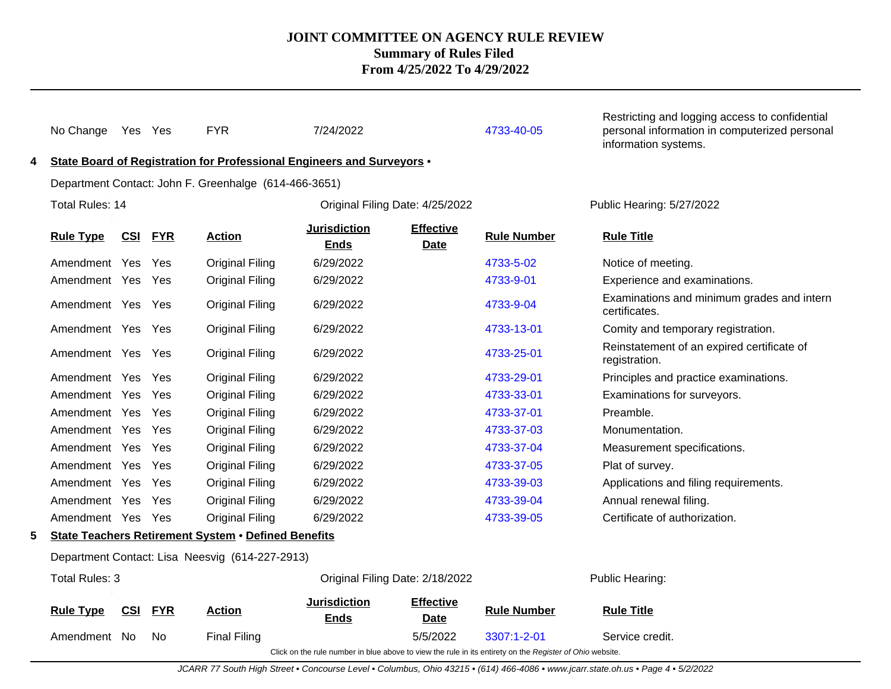| 4 | No Change             |     | Yes Yes    | <b>FYR</b><br>State Board of Registration for Professional Engineers and Surveyors . | 7/24/2022                          |                                 | 4733-40-05                                                                                               | Restricting and logging access to confidential<br>personal information in computerized personal<br>information systems. |
|---|-----------------------|-----|------------|--------------------------------------------------------------------------------------|------------------------------------|---------------------------------|----------------------------------------------------------------------------------------------------------|-------------------------------------------------------------------------------------------------------------------------|
|   |                       |     |            | Department Contact: John F. Greenhalge (614-466-3651)                                |                                    |                                 |                                                                                                          |                                                                                                                         |
|   | Total Rules: 14       |     |            |                                                                                      |                                    | Original Filing Date: 4/25/2022 |                                                                                                          | Public Hearing: 5/27/2022                                                                                               |
|   | <b>Rule Type</b>      | CSI | <b>FYR</b> | <b>Action</b>                                                                        | <b>Jurisdiction</b><br><b>Ends</b> | <b>Effective</b><br><b>Date</b> | <b>Rule Number</b>                                                                                       | <b>Rule Title</b>                                                                                                       |
|   | Amendment Yes         |     | Yes        | <b>Original Filing</b>                                                               | 6/29/2022                          |                                 | 4733-5-02                                                                                                | Notice of meeting.                                                                                                      |
|   | Amendment Yes         |     | Yes        | <b>Original Filing</b>                                                               | 6/29/2022                          |                                 | 4733-9-01                                                                                                | Experience and examinations.                                                                                            |
|   | Amendment Yes         |     | Yes        | <b>Original Filing</b>                                                               | 6/29/2022                          |                                 | 4733-9-04                                                                                                | Examinations and minimum grades and intern<br>certificates.                                                             |
|   | Amendment Yes Yes     |     |            | <b>Original Filing</b>                                                               | 6/29/2022                          |                                 | 4733-13-01                                                                                               | Comity and temporary registration.                                                                                      |
|   | Amendment Yes Yes     |     |            | <b>Original Filing</b>                                                               | 6/29/2022                          |                                 | 4733-25-01                                                                                               | Reinstatement of an expired certificate of<br>registration.                                                             |
|   | Amendment Yes         |     | Yes        | <b>Original Filing</b>                                                               | 6/29/2022                          |                                 | 4733-29-01                                                                                               | Principles and practice examinations.                                                                                   |
|   | Amendment Yes         |     | Yes        | <b>Original Filing</b>                                                               | 6/29/2022                          |                                 | 4733-33-01                                                                                               | Examinations for surveyors.                                                                                             |
|   | Amendment Yes         |     | Yes        | <b>Original Filing</b>                                                               | 6/29/2022                          |                                 | 4733-37-01                                                                                               | Preamble.                                                                                                               |
|   | Amendment Yes         |     | Yes        | <b>Original Filing</b>                                                               | 6/29/2022                          |                                 | 4733-37-03                                                                                               | Monumentation.                                                                                                          |
|   | Amendment Yes         |     | Yes        | <b>Original Filing</b>                                                               | 6/29/2022                          |                                 | 4733-37-04                                                                                               | Measurement specifications.                                                                                             |
|   | Amendment Yes         |     | Yes        | <b>Original Filing</b>                                                               | 6/29/2022                          |                                 | 4733-37-05                                                                                               | Plat of survey.                                                                                                         |
|   | Amendment Yes         |     | Yes        | <b>Original Filing</b>                                                               | 6/29/2022                          |                                 | 4733-39-03                                                                                               | Applications and filing requirements.                                                                                   |
|   | Amendment Yes         |     | Yes        | <b>Original Filing</b>                                                               | 6/29/2022                          |                                 | 4733-39-04                                                                                               | Annual renewal filing.                                                                                                  |
|   | Amendment Yes Yes     |     |            | <b>Original Filing</b>                                                               | 6/29/2022                          |                                 | 4733-39-05                                                                                               | Certificate of authorization.                                                                                           |
| 5 |                       |     |            | <b>State Teachers Retirement System . Defined Benefits</b>                           |                                    |                                 |                                                                                                          |                                                                                                                         |
|   |                       |     |            | Department Contact: Lisa Neesvig (614-227-2913)                                      |                                    |                                 |                                                                                                          |                                                                                                                         |
|   | <b>Total Rules: 3</b> |     |            |                                                                                      |                                    | Original Filing Date: 2/18/2022 |                                                                                                          | Public Hearing:                                                                                                         |
|   | <b>Rule Type</b>      | CSI | <b>FYR</b> | <b>Action</b>                                                                        | <b>Jurisdiction</b><br><b>Ends</b> | <b>Effective</b><br><b>Date</b> | <b>Rule Number</b>                                                                                       | <b>Rule Title</b>                                                                                                       |
|   | Amendment No          |     | No.        | <b>Final Filing</b>                                                                  |                                    | 5/5/2022                        | $3307:1 - 2 - 01$                                                                                        | Service credit.                                                                                                         |
|   |                       |     |            |                                                                                      |                                    |                                 | Click on the rule number in blue above to view the rule in its entirety on the Register of Ohio website. |                                                                                                                         |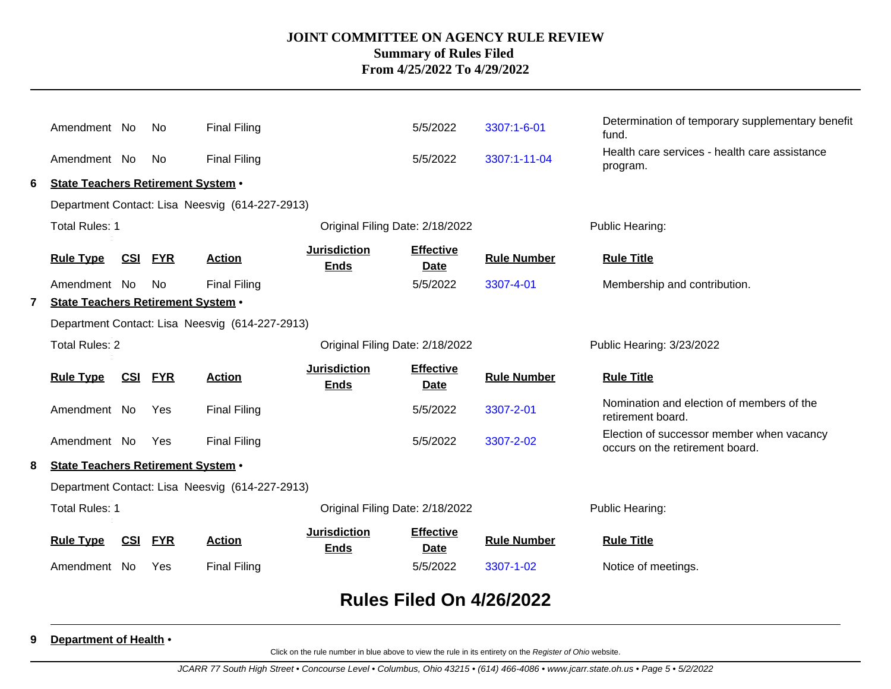|              | Amendment No                                             |            | No.        | <b>Final Filing</b>                             |                                    | 5/5/2022                        | 3307:1-6-01        | Determination of temporary supplementary benefit<br>fund.                    |
|--------------|----------------------------------------------------------|------------|------------|-------------------------------------------------|------------------------------------|---------------------------------|--------------------|------------------------------------------------------------------------------|
|              | Amendment No                                             |            | No         | <b>Final Filing</b>                             |                                    | 5/5/2022                        | 3307:1-11-04       | Health care services - health care assistance<br>program.                    |
| 6            | State Teachers Retirement System .                       |            |            |                                                 |                                    |                                 |                    |                                                                              |
|              | Department Contact: Lisa Neesvig (614-227-2913)          |            |            |                                                 |                                    |                                 |                    |                                                                              |
|              | <b>Total Rules: 1</b><br>Original Filing Date: 2/18/2022 |            |            |                                                 |                                    |                                 |                    | Public Hearing:                                                              |
|              | <b>Rule Type</b>                                         | CSI        | <b>FYR</b> | <b>Action</b>                                   | <b>Jurisdiction</b><br><b>Ends</b> | <b>Effective</b><br><b>Date</b> | <b>Rule Number</b> | <b>Rule Title</b>                                                            |
|              | Amendment No                                             |            | No.        | <b>Final Filing</b>                             |                                    | 5/5/2022                        | 3307-4-01          | Membership and contribution.                                                 |
| $\mathbf{7}$ | <b>State Teachers Retirement System .</b>                |            |            |                                                 |                                    |                                 |                    |                                                                              |
|              | Department Contact: Lisa Neesvig (614-227-2913)          |            |            |                                                 |                                    |                                 |                    |                                                                              |
|              | <b>Total Rules: 2</b><br>Original Filing Date: 2/18/2022 |            |            |                                                 |                                    |                                 |                    | Public Hearing: 3/23/2022                                                    |
|              | <b>Rule Type</b>                                         | <u>CSI</u> | <b>FYR</b> | <b>Action</b>                                   | <b>Jurisdiction</b><br><b>Ends</b> | <b>Effective</b><br><b>Date</b> | <b>Rule Number</b> | <b>Rule Title</b>                                                            |
|              | Amendment No                                             |            | Yes        | <b>Final Filing</b>                             |                                    | 5/5/2022                        | 3307-2-01          | Nomination and election of members of the<br>retirement board.               |
|              | Amendment No                                             |            | Yes        | <b>Final Filing</b>                             |                                    | 5/5/2022                        | 3307-2-02          | Election of successor member when vacancy<br>occurs on the retirement board. |
| 8            | State Teachers Retirement System .                       |            |            |                                                 |                                    |                                 |                    |                                                                              |
|              |                                                          |            |            | Department Contact: Lisa Neesvig (614-227-2913) |                                    |                                 |                    |                                                                              |
|              | <b>Total Rules: 1</b>                                    |            |            |                                                 | Original Filing Date: 2/18/2022    |                                 |                    | Public Hearing:                                                              |
|              | <b>Rule Type</b>                                         | CSI        | <b>FYR</b> | <b>Action</b>                                   | <b>Jurisdiction</b><br><b>Ends</b> | <b>Effective</b><br><b>Date</b> | <b>Rule Number</b> | <b>Rule Title</b>                                                            |
|              | Amendment No                                             |            | Yes        | <b>Final Filing</b>                             |                                    | 5/5/2022                        | 3307-1-02          | Notice of meetings.                                                          |
|              |                                                          |            |            |                                                 |                                    |                                 |                    |                                                                              |

# **Rules Filed On 4/26/2022**

#### **9 Department of Health** •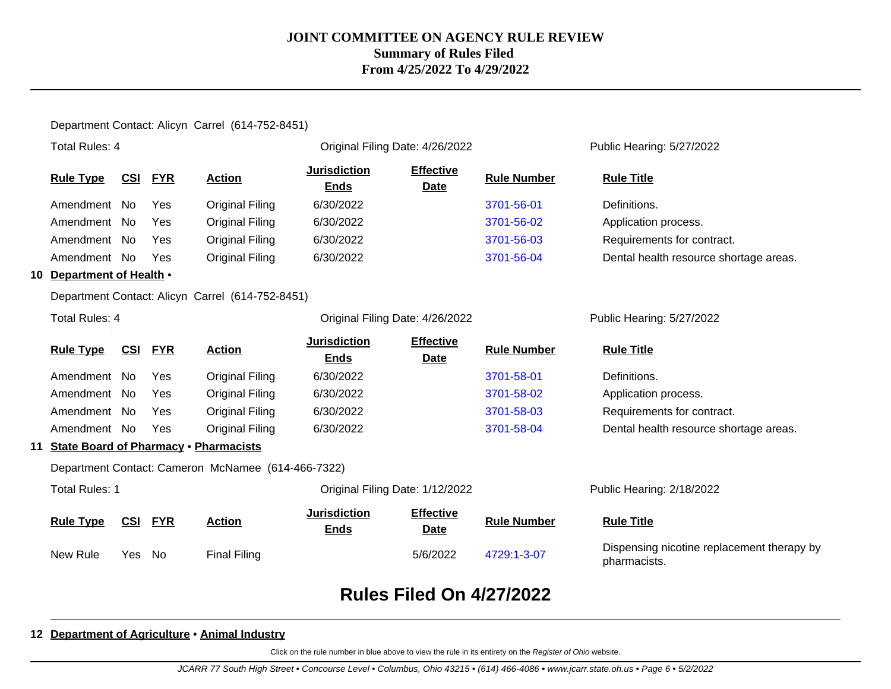#### Department Contact: Alicyn Carrel (614-752-8451)

|    | <b>Total Rules: 4</b>                        |            |            |                                                    | Original Filing Date: 4/26/2022    |                                 |                    | Public Hearing: 5/27/2022                                  |  |
|----|----------------------------------------------|------------|------------|----------------------------------------------------|------------------------------------|---------------------------------|--------------------|------------------------------------------------------------|--|
|    | <b>Rule Type</b>                             | <b>CSI</b> | <b>FYR</b> | <b>Action</b>                                      | <b>Jurisdiction</b><br><b>Ends</b> | <b>Effective</b><br><b>Date</b> | <b>Rule Number</b> | <b>Rule Title</b>                                          |  |
|    | Amendment No                                 |            | Yes        | <b>Original Filing</b>                             | 6/30/2022                          |                                 | 3701-56-01         | Definitions.                                               |  |
|    | Amendment No                                 |            | Yes        | Original Filing                                    | 6/30/2022                          |                                 | 3701-56-02         | Application process.                                       |  |
|    | Amendment No                                 |            | Yes        | <b>Original Filing</b>                             | 6/30/2022                          |                                 | 3701-56-03         | Requirements for contract.                                 |  |
|    | Amendment No                                 |            | Yes        | <b>Original Filing</b>                             | 6/30/2022                          |                                 | 3701-56-04         | Dental health resource shortage areas.                     |  |
| 10 | Department of Health .                       |            |            |                                                    |                                    |                                 |                    |                                                            |  |
|    |                                              |            |            | Department Contact: Alicyn Carrel (614-752-8451)   |                                    |                                 |                    |                                                            |  |
|    | <b>Total Rules: 4</b>                        |            |            |                                                    | Original Filing Date: 4/26/2022    |                                 |                    | Public Hearing: 5/27/2022                                  |  |
|    | <b>Rule Type</b>                             | <b>CSI</b> | <b>FYR</b> | <b>Action</b>                                      | <b>Jurisdiction</b><br><b>Ends</b> | <b>Effective</b><br><b>Date</b> | <b>Rule Number</b> | <b>Rule Title</b>                                          |  |
|    | Amendment No                                 |            | Yes        | <b>Original Filing</b>                             | 6/30/2022                          |                                 | 3701-58-01         | Definitions.                                               |  |
|    | Amendment No                                 |            | Yes        | <b>Original Filing</b>                             | 6/30/2022                          |                                 | 3701-58-02         | Application process.                                       |  |
|    | Amendment No                                 |            | Yes        | Original Filing                                    | 6/30/2022                          |                                 | 3701-58-03         | Requirements for contract.                                 |  |
|    | Amendment No                                 |            | Yes        | Original Filing                                    | 6/30/2022                          |                                 | 3701-58-04         | Dental health resource shortage areas.                     |  |
| 11 | <b>State Board of Pharmacy . Pharmacists</b> |            |            |                                                    |                                    |                                 |                    |                                                            |  |
|    |                                              |            |            | Department Contact: Cameron McNamee (614-466-7322) |                                    |                                 |                    |                                                            |  |
|    | <b>Total Rules: 1</b>                        |            |            |                                                    | Original Filing Date: 1/12/2022    |                                 |                    | Public Hearing: 2/18/2022                                  |  |
|    | <b>Rule Type</b>                             | <b>CSI</b> | <b>FYR</b> | <b>Action</b>                                      | <b>Jurisdiction</b><br><b>Ends</b> | <b>Effective</b><br><b>Date</b> | <b>Rule Number</b> | <b>Rule Title</b>                                          |  |
|    | New Rule                                     | Yes        | No         | <b>Final Filing</b>                                |                                    | 5/6/2022                        | 4729:1-3-07        | Dispensing nicotine replacement therapy by<br>pharmacists. |  |
|    |                                              |            |            |                                                    |                                    |                                 |                    |                                                            |  |

# **Rules Filed On 4/27/2022**

#### **12 Department of Agriculture** • **Animal Industry**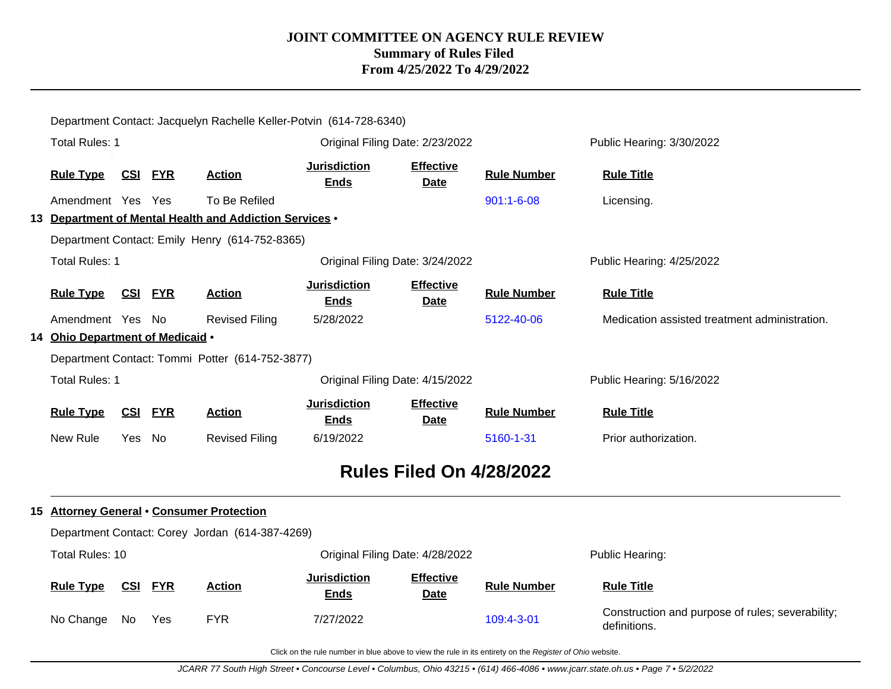|                                  |        |                |                                                         | Department Contact: Jacquelyn Rachelle Keller-Potvin (614-728-6340) |                                 |                    |                                               |
|----------------------------------|--------|----------------|---------------------------------------------------------|---------------------------------------------------------------------|---------------------------------|--------------------|-----------------------------------------------|
| <b>Total Rules: 1</b>            |        |                |                                                         |                                                                     | Original Filing Date: 2/23/2022 |                    | Public Hearing: 3/30/2022                     |
| Rule Type CSI FYR                |        |                | <b>Action</b>                                           | <b>Jurisdiction</b><br><b>Ends</b>                                  | <b>Effective</b><br>Date        | <b>Rule Number</b> | <b>Rule Title</b>                             |
| Amendment Yes Yes                |        |                | To Be Refiled                                           |                                                                     |                                 | 901:1-6-08         | Licensing.                                    |
|                                  |        |                | 13 Department of Mental Health and Addiction Services . |                                                                     |                                 |                    |                                               |
|                                  |        |                | Department Contact: Emily Henry (614-752-8365)          |                                                                     |                                 |                    |                                               |
| <b>Total Rules: 1</b>            |        |                |                                                         |                                                                     | Original Filing Date: 3/24/2022 |                    | Public Hearing: 4/25/2022                     |
| <b>Rule Type</b>                 |        | CSI FYR        | <b>Action</b>                                           | <b>Jurisdiction</b><br><b>Ends</b>                                  | <b>Effective</b><br><b>Date</b> | <b>Rule Number</b> | <b>Rule Title</b>                             |
| Amendment Yes No                 |        |                | <b>Revised Filing</b>                                   | 5/28/2022                                                           |                                 | 5122-40-06         | Medication assisted treatment administration. |
| 14 Ohio Department of Medicaid . |        |                |                                                         |                                                                     |                                 |                    |                                               |
|                                  |        |                | Department Contact: Tommi Potter (614-752-3877)         |                                                                     |                                 |                    |                                               |
|                                  |        |                |                                                         |                                                                     |                                 |                    |                                               |
| <b>Total Rules: 1</b>            |        |                |                                                         |                                                                     | Original Filing Date: 4/15/2022 |                    | Public Hearing: 5/16/2022                     |
| <b>Rule Type</b>                 |        | <b>CSI FYR</b> | <b>Action</b>                                           | <b>Jurisdiction</b><br><b>Ends</b>                                  | <b>Effective</b><br>Date        | <b>Rule Number</b> | <b>Rule Title</b>                             |
| New Rule                         | Yes No |                | <b>Revised Filing</b>                                   | 6/19/2022                                                           |                                 | 5160-1-31          | Prior authorization.                          |
|                                  |        |                |                                                         |                                                                     | <b>Rules Filed On 4/28/2022</b> |                    |                                               |
|                                  |        |                | 15 Attorney General . Consumer Protection               |                                                                     |                                 |                    |                                               |
|                                  |        |                | Department Contact: Corey Jordan (614-387-4269)         |                                                                     |                                 |                    |                                               |
| Total Rules: 10                  |        |                |                                                         |                                                                     | Original Filing Date: 4/28/2022 |                    | Public Hearing:                               |
| <b>Rule Type</b>                 |        | <b>CSI FYR</b> | <b>Action</b>                                           | <b>Jurisdiction</b><br><b>Ends</b>                                  | <b>Effective</b><br>Date        | <b>Rule Number</b> | <b>Rule Title</b>                             |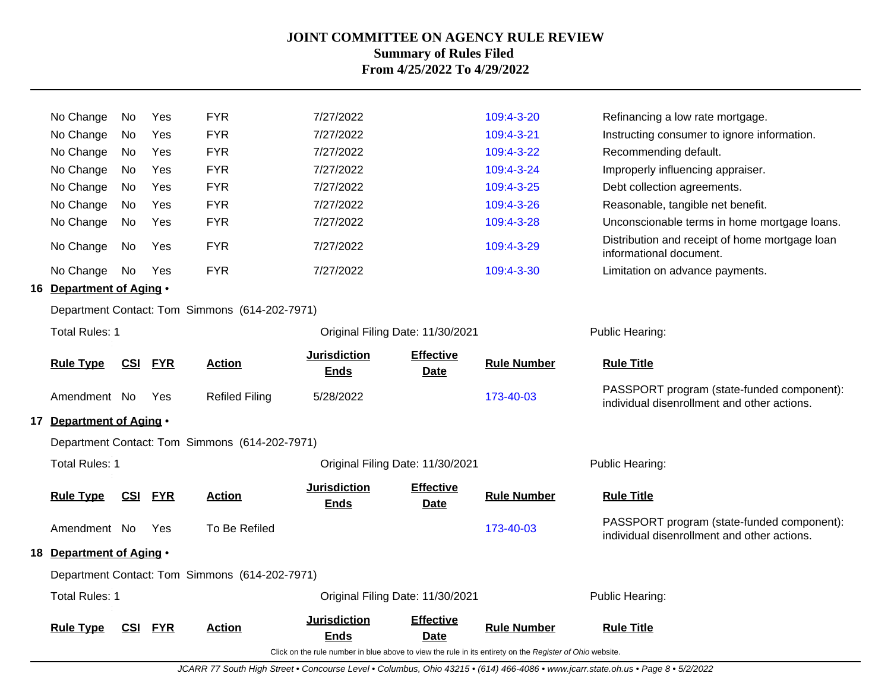| <b>Total Rules: 1</b><br><b>Rule Type</b>                 | <b>CSI</b> | <b>FYR</b> | <b>Action</b>                                  | <b>Jurisdiction</b><br><b>Ends</b> | Original Filing Date: 11/30/2021<br><b>Effective</b><br><b>Date</b> | <b>Rule Number</b>       | Public Hearing:<br><b>Rule Title</b>                                                      |
|-----------------------------------------------------------|------------|------------|------------------------------------------------|------------------------------------|---------------------------------------------------------------------|--------------------------|-------------------------------------------------------------------------------------------|
|                                                           |            |            | Department Contact: Tom Simmons (614-202-7971) |                                    |                                                                     |                          |                                                                                           |
| 18 Department of Aging .                                  |            |            |                                                |                                    |                                                                     |                          |                                                                                           |
| Amendment No                                              |            | Yes        | To Be Refiled                                  |                                    |                                                                     | 173-40-03                | PASSPORT program (state-funded component):<br>individual disenrollment and other actions. |
| <b>Rule Type</b>                                          | <u>CSI</u> | <b>FYR</b> | <b>Action</b>                                  | <b>Jurisdiction</b><br>Ends        | <b>Effective</b><br><b>Date</b>                                     | <b>Rule Number</b>       | <b>Rule Title</b>                                                                         |
| <b>Total Rules: 1</b>                                     |            |            |                                                |                                    | Original Filing Date: 11/30/2021                                    |                          | Public Hearing:                                                                           |
|                                                           |            |            | Department Contact: Tom Simmons (614-202-7971) |                                    |                                                                     |                          |                                                                                           |
| 17 Department of Aging .                                  |            |            |                                                |                                    |                                                                     |                          |                                                                                           |
| Amendment No                                              |            | Yes        | <b>Refiled Filing</b>                          | 5/28/2022                          |                                                                     | 173-40-03                | PASSPORT program (state-funded component):<br>individual disenrollment and other actions. |
| <b>Rule Type</b>                                          | <u>CSI</u> | <b>FYR</b> | <b>Action</b>                                  | <b>Jurisdiction</b><br><b>Ends</b> | <b>Effective</b><br><b>Date</b>                                     | <b>Rule Number</b>       | <b>Rule Title</b>                                                                         |
| <b>Total Rules: 1</b><br>Original Filing Date: 11/30/2021 |            |            |                                                |                                    |                                                                     |                          | Public Hearing:                                                                           |
|                                                           |            |            | Department Contact: Tom Simmons (614-202-7971) |                                    |                                                                     |                          |                                                                                           |
| 16 Department of Aging .                                  |            |            |                                                |                                    |                                                                     |                          |                                                                                           |
| No Change                                                 | No         | Yes        | <b>FYR</b>                                     | 7/27/2022                          |                                                                     | 109:4-3-30               | Limitation on advance payments.                                                           |
| No Change                                                 | No         | Yes        | <b>FYR</b>                                     | 7/27/2022                          |                                                                     | 109:4-3-29               | Distribution and receipt of home mortgage loan<br>informational document.                 |
| No Change                                                 | No         | Yes        | <b>FYR</b>                                     | 7/27/2022                          |                                                                     | 109:4-3-28               | Unconscionable terms in home mortgage loans.                                              |
| No Change                                                 | No.        | Yes        | <b>FYR</b>                                     | 7/27/2022                          |                                                                     | 109:4-3-26               | Reasonable, tangible net benefit.                                                         |
| No Change<br>No Change                                    | No<br>No.  | Yes<br>Yes | <b>FYR</b>                                     | 7/27/2022                          |                                                                     | 109:4-3-25               | Improperly influencing appraiser.<br>Debt collection agreements.                          |
| No Change                                                 | No         | Yes        | <b>FYR</b><br><b>FYR</b>                       | 7/27/2022<br>7/27/2022             |                                                                     | 109:4-3-22<br>109:4-3-24 | Recommending default.                                                                     |
| No Change                                                 | No         | Yes        | <b>FYR</b>                                     | 7/27/2022                          |                                                                     | 109:4-3-21               | Instructing consumer to ignore information.                                               |
| No Change                                                 | No         | Yes        | <b>FYR</b>                                     | 7/27/2022                          |                                                                     | 109:4-3-20               | Refinancing a low rate mortgage.                                                          |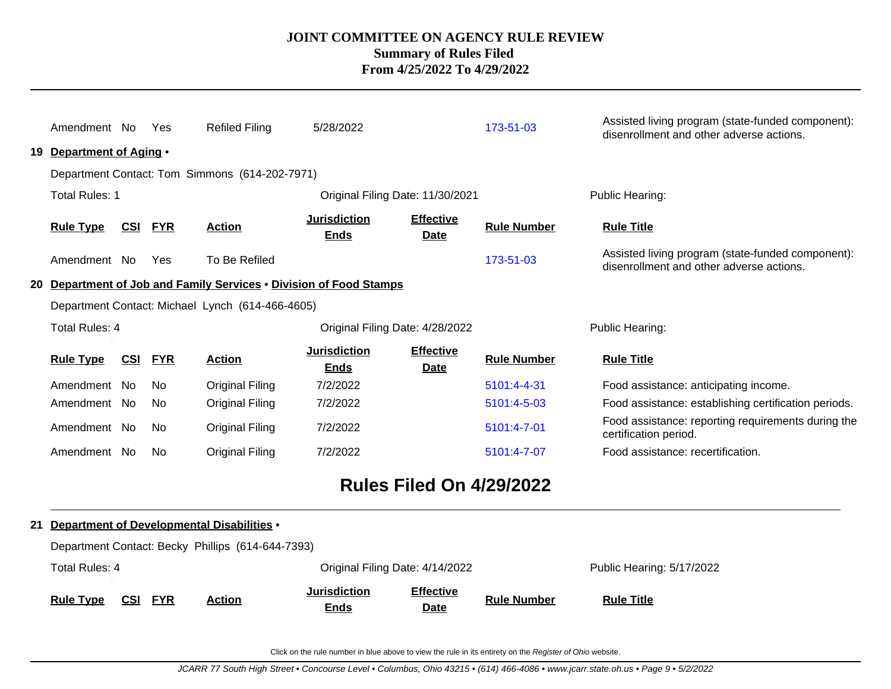|    | Amendment No<br>19 Department of Aging . |                | Yes        | <b>Refiled Filing</b>                                              | 5/28/2022                          |                                 | 173-51-03          | Assisted living program (state-funded component):<br>disenrollment and other adverse actions. |
|----|------------------------------------------|----------------|------------|--------------------------------------------------------------------|------------------------------------|---------------------------------|--------------------|-----------------------------------------------------------------------------------------------|
|    |                                          |                |            | Department Contact: Tom Simmons (614-202-7971)                     |                                    |                                 |                    |                                                                                               |
|    | <b>Total Rules: 1</b>                    |                |            |                                                                    | Original Filing Date: 11/30/2021   |                                 |                    | Public Hearing:                                                                               |
|    | <b>Rule Type</b>                         | CSI FYR        |            | <b>Action</b>                                                      | <b>Jurisdiction</b><br><b>Ends</b> | <b>Effective</b><br><b>Date</b> | <b>Rule Number</b> | <b>Rule Title</b>                                                                             |
|    | Amendment No                             |                | Yes        | To Be Refiled                                                      |                                    |                                 | 173-51-03          | Assisted living program (state-funded component):<br>disenrollment and other adverse actions. |
|    |                                          |                |            | 20 Department of Job and Family Services . Division of Food Stamps |                                    |                                 |                    |                                                                                               |
|    |                                          |                |            | Department Contact: Michael Lynch (614-466-4605)                   |                                    |                                 |                    |                                                                                               |
|    | Total Rules: 4                           |                |            |                                                                    | Original Filing Date: 4/28/2022    |                                 |                    | Public Hearing:                                                                               |
|    | <b>Rule Type</b>                         | <b>CSI</b>     | <b>FYR</b> | <b>Action</b>                                                      | <b>Jurisdiction</b><br><b>Ends</b> | <b>Effective</b><br><b>Date</b> | <b>Rule Number</b> | <b>Rule Title</b>                                                                             |
|    | Amendment No                             |                | No.        | Original Filing                                                    | 7/2/2022                           |                                 | 5101:4-4-31        | Food assistance: anticipating income.                                                         |
|    | Amendment No                             |                | No.        | Original Filing                                                    | 7/2/2022                           |                                 | 5101:4-5-03        | Food assistance: establishing certification periods.                                          |
|    | Amendment No                             |                | No.        | Original Filing                                                    | 7/2/2022                           |                                 | 5101:4-7-01        | Food assistance: reporting requirements during the<br>certification period.                   |
|    | Amendment No                             |                | No.        | <b>Original Filing</b>                                             | 7/2/2022                           |                                 | 5101:4-7-07        | Food assistance: recertification.                                                             |
|    |                                          |                |            |                                                                    |                                    | <b>Rules Filed On 4/29/2022</b> |                    |                                                                                               |
| 21 |                                          |                |            | Department of Developmental Disabilities .                         |                                    |                                 |                    |                                                                                               |
|    |                                          |                |            | Department Contact: Becky Phillips (614-644-7393)                  |                                    |                                 |                    |                                                                                               |
|    | <b>Total Rules: 4</b>                    |                |            |                                                                    | Original Filing Date: 4/14/2022    |                                 |                    | Public Hearing: 5/17/2022                                                                     |
|    | <b>Rule Type</b>                         | <b>CSI FYR</b> |            | <b>Action</b>                                                      | <b>Jurisdiction</b><br><b>Ends</b> | <b>Effective</b><br>Date        | <b>Rule Number</b> | <b>Rule Title</b>                                                                             |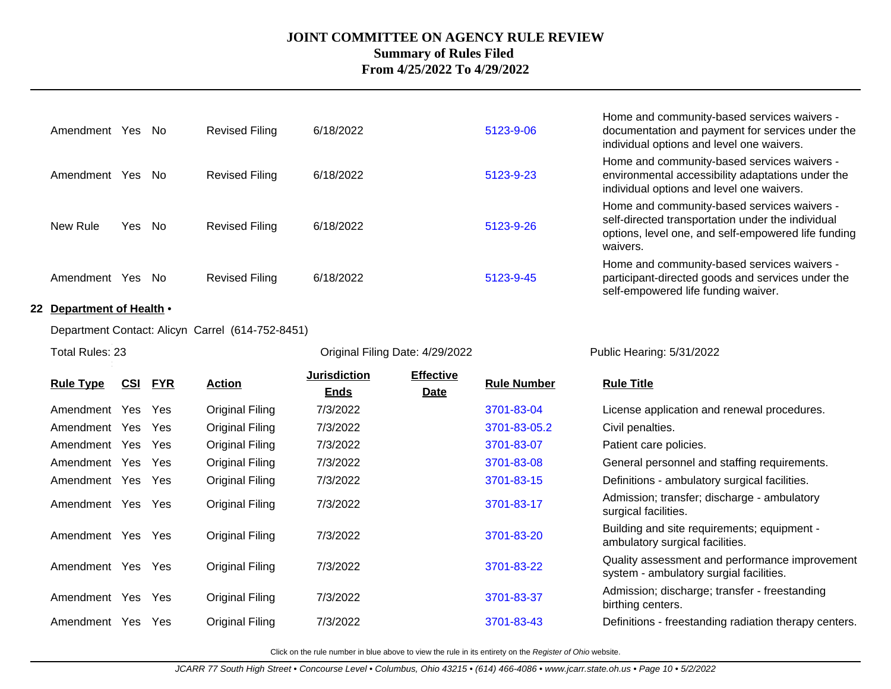| Amendment Yes    |        | - No | <b>Revised Filing</b> | 6/18/2022 | 5123-9-06 |
|------------------|--------|------|-----------------------|-----------|-----------|
| Amendment Yes No |        |      | <b>Revised Filing</b> | 6/18/2022 | 5123-9-23 |
| New Rule         | Yes No |      | <b>Revised Filing</b> | 6/18/2022 | 5123-9-26 |
| Amendment Yes    |        | - No | <b>Revised Filing</b> | 6/18/2022 | 5123-9-45 |

#### **22 Department of Health** •

Department Contact: Alicyn Carrel (614-752-8451)

Total Rules: 23 **Original Filing Date: 4/29/2022** Public Hearing: 5/31/2022 Public Hearing: 5/31/2022

**Effective**

| Home and community-based services waivers -      |
|--------------------------------------------------|
| documentation and payment for services under the |
| individual options and level one waivers.        |

Home and community-based services waivers environmental accessibility adaptations under the individual options and level one waivers.

Home and community-based services waivers self-directed transportation under the individual options, level one, and self-empowered life funding waivers.

Home and community-based services waivers participant-directed goods and services under the self-empowered life funding waiver.

|                   | CSI | <u>FYR</u> | <u>Action</u>   | <b>Jurisdiction</b> | <b>Effective</b> | <b>Rule Number</b> | <b>Rule Title</b>                                                                         |
|-------------------|-----|------------|-----------------|---------------------|------------------|--------------------|-------------------------------------------------------------------------------------------|
| <b>Rule Type</b>  |     |            |                 | <b>Ends</b>         | <b>Date</b>      |                    |                                                                                           |
| Amendment         | Yes | Yes        | Original Filing | 7/3/2022            |                  | 3701-83-04         | License application and renewal procedures.                                               |
| Amendment Yes     |     | Yes        | Original Filing | 7/3/2022            |                  | 3701-83-05.2       | Civil penalties.                                                                          |
| Amendment Yes     |     | Yes        | Original Filing | 7/3/2022            |                  | 3701-83-07         | Patient care policies.                                                                    |
| Amendment Yes Yes |     |            | Original Filing | 7/3/2022            |                  | 3701-83-08         | General personnel and staffing requirements.                                              |
| Amendment Yes Yes |     |            | Original Filing | 7/3/2022            |                  | 3701-83-15         | Definitions - ambulatory surgical facilities.                                             |
| Amendment Yes     |     | Yes        | Original Filing | 7/3/2022            |                  | 3701-83-17         | Admission; transfer; discharge - ambulatory<br>surgical facilities.                       |
| Amendment         | Yes | Yes        | Original Filing | 7/3/2022            |                  | 3701-83-20         | Building and site requirements; equipment -<br>ambulatory surgical facilities.            |
| Amendment Yes     |     | Yes        | Original Filing | 7/3/2022            |                  | 3701-83-22         | Quality assessment and performance improvement<br>system - ambulatory surgial facilities. |
| Amendment         | Yes | Yes        | Original Filing | 7/3/2022            |                  | 3701-83-37         | Admission; discharge; transfer - freestanding<br>birthing centers.                        |
| Amendment         | Yes | Yes        | Original Filing | 7/3/2022            |                  | 3701-83-43         | Definitions - freestanding radiation therapy centers.                                     |
|                   |     |            |                 |                     |                  |                    |                                                                                           |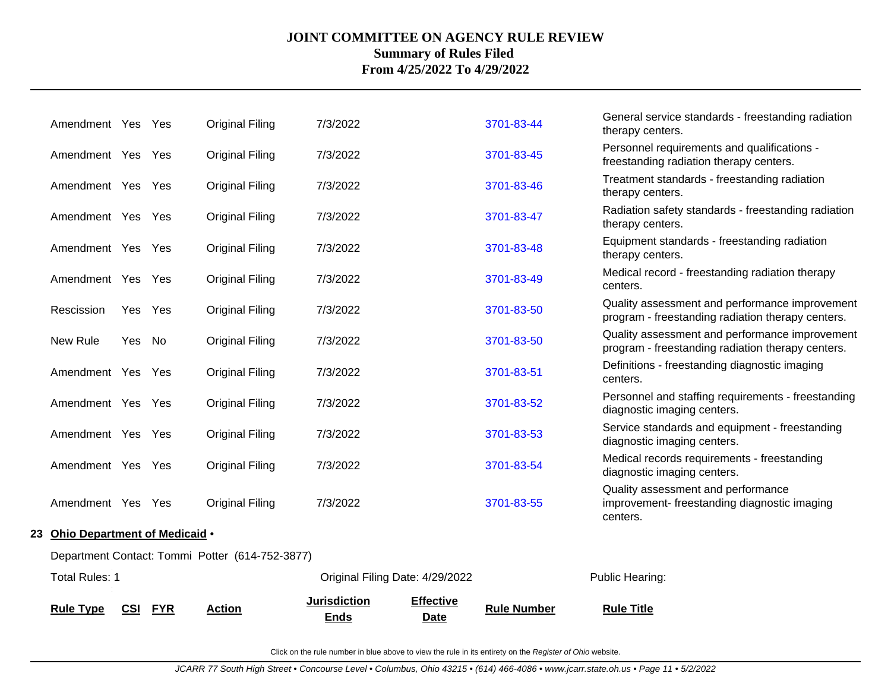| <b>Rule Type</b>                                | CSI     | <b>FYR</b> | <b>Action</b>          | <b>Jurisdiction</b><br><b>Ends</b> | <b>Effective</b><br><b>Date</b> | <b>Rule Number</b> | <b>Rule Title</b>                                                                                   |  |  |  |
|-------------------------------------------------|---------|------------|------------------------|------------------------------------|---------------------------------|--------------------|-----------------------------------------------------------------------------------------------------|--|--|--|
| <b>Total Rules: 1</b>                           |         |            |                        | Original Filing Date: 4/29/2022    |                                 |                    | Public Hearing:                                                                                     |  |  |  |
| Department Contact: Tommi Potter (614-752-3877) |         |            |                        |                                    |                                 |                    |                                                                                                     |  |  |  |
| 23 Ohio Department of Medicaid .                |         |            |                        |                                    |                                 |                    |                                                                                                     |  |  |  |
| Amendment Yes Yes                               |         |            | <b>Original Filing</b> | 7/3/2022                           |                                 | 3701-83-55         | Quality assessment and performance<br>improvement-freestanding diagnostic imaging<br>centers.       |  |  |  |
| Amendment Yes Yes                               |         |            | <b>Original Filing</b> | 7/3/2022                           |                                 | 3701-83-54         | Medical records requirements - freestanding<br>diagnostic imaging centers.                          |  |  |  |
| Amendment Yes Yes                               |         |            | <b>Original Filing</b> | 7/3/2022                           |                                 | 3701-83-53         | Service standards and equipment - freestanding<br>diagnostic imaging centers.                       |  |  |  |
| Amendment Yes Yes                               |         |            | <b>Original Filing</b> | 7/3/2022                           |                                 | 3701-83-52         | Personnel and staffing requirements - freestanding<br>diagnostic imaging centers.                   |  |  |  |
| Amendment Yes Yes                               |         |            | <b>Original Filing</b> | 7/3/2022                           |                                 | 3701-83-51         | Definitions - freestanding diagnostic imaging<br>centers.                                           |  |  |  |
| New Rule                                        | Yes No  |            | <b>Original Filing</b> | 7/3/2022                           |                                 | 3701-83-50         | Quality assessment and performance improvement<br>program - freestanding radiation therapy centers. |  |  |  |
| Rescission                                      | Yes Yes |            | <b>Original Filing</b> | 7/3/2022                           |                                 | 3701-83-50         | Quality assessment and performance improvement<br>program - freestanding radiation therapy centers. |  |  |  |
| Amendment Yes Yes                               |         |            | <b>Original Filing</b> | 7/3/2022                           |                                 | 3701-83-49         | Medical record - freestanding radiation therapy<br>centers.                                         |  |  |  |
| Amendment Yes Yes                               |         |            | <b>Original Filing</b> | 7/3/2022                           |                                 | 3701-83-48         | Equipment standards - freestanding radiation<br>therapy centers.                                    |  |  |  |
| Amendment Yes Yes                               |         |            | <b>Original Filing</b> | 7/3/2022                           |                                 | 3701-83-47         | Radiation safety standards - freestanding radiation<br>therapy centers.                             |  |  |  |
| Amendment Yes Yes                               |         |            | <b>Original Filing</b> | 7/3/2022                           |                                 | 3701-83-46         | Treatment standards - freestanding radiation<br>therapy centers.                                    |  |  |  |
| Amendment Yes Yes                               |         |            | <b>Original Filing</b> | 7/3/2022                           |                                 | 3701-83-45         | Personnel requirements and qualifications -<br>freestanding radiation therapy centers.              |  |  |  |
| Amendment Yes Yes                               |         |            | <b>Original Filing</b> | 7/3/2022                           |                                 | 3701-83-44         | General service standards - freestanding radiation<br>therapy centers.                              |  |  |  |
|                                                 |         |            |                        |                                    |                                 |                    |                                                                                                     |  |  |  |